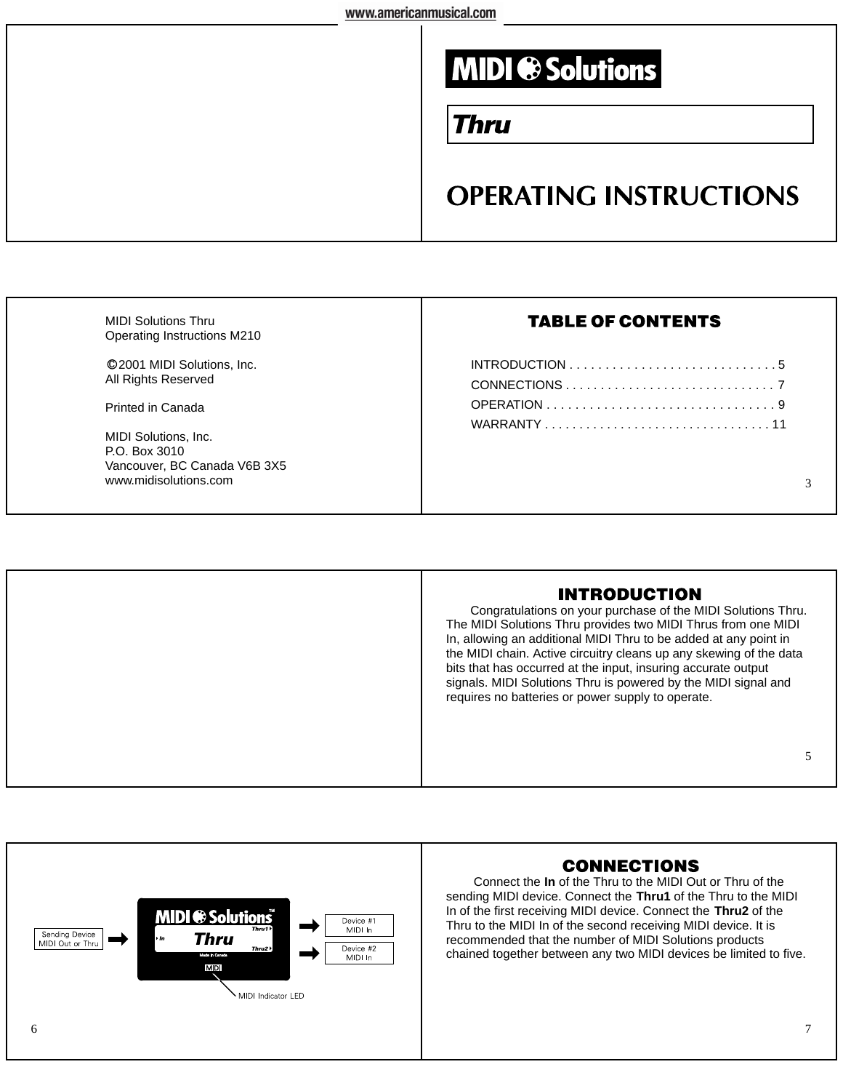# **MIDI ® Solutions**

### Thru

## **OPERATING INSTRUCTIONS**

| <b>MIDI Solutions Thru</b><br>Operating Instructions M210             | <b>TABLE OF CONTENTS</b> |
|-----------------------------------------------------------------------|--------------------------|
| ©2001 MIDI Solutions, Inc.<br>All Rights Reserved                     |                          |
| Printed in Canada                                                     | WARRANTY11               |
| MIDI Solutions, Inc.<br>P.O. Box 3010<br>Vancouver, BC Canada V6B 3X5 |                          |
| www.midisolutions.com                                                 |                          |
|                                                                       |                          |

#### **INTRODUCTION**

Congratulations on your purchase of the MIDI Solutions Thru. The MIDI Solutions Thru provides two MIDI Thrus from one MIDI In, allowing an additional MIDI Thru to be added at any point in the MIDI chain. Active circuitry cleans up any skewing of the data bits that has occurred at the input, insuring accurate output signals. MIDI Solutions Thru is powered by the MIDI signal and requires no batteries or power supply to operate.

#### 5